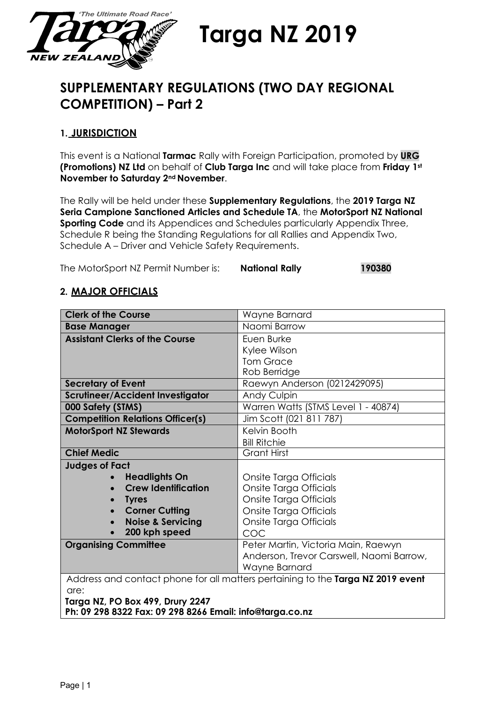

**Targa NZ 2019**

# **SUPPLEMENTARY REGULATIONS (TWO DAY REGIONAL COMPETITION) – Part 2**

# **1. JURISDICTION**

This event is a National **Tarmac** Rally with Foreign Participation, promoted by **URG (Promotions) NZ Ltd** on behalf of **Club Targa Inc** and will take place from **Friday 1st November to Saturday 2nd November**.

The Rally will be held under these **Supplementary Regulations**, the **2019 Targa NZ Seria Campione Sanctioned Articles and Schedule TA**, the **MotorSport NZ National Sporting Code** and its Appendices and Schedules particularly Appendix Three, Schedule R being the Standing Regulations for all Rallies and Appendix Two, Schedule A – Driver and Vehicle Safety Requirements.

The MotorSport NZ Permit Number is: **National Rally 190380**

## **2. MAJOR OFFICIALS**

| <b>Clerk of the Course</b>                                                      | Wayne Barnard                            |  |
|---------------------------------------------------------------------------------|------------------------------------------|--|
| <b>Base Manager</b>                                                             | Naomi Barrow                             |  |
| <b>Assistant Clerks of the Course</b>                                           | Euen Burke                               |  |
|                                                                                 | Kylee Wilson                             |  |
|                                                                                 | <b>Tom Grace</b>                         |  |
|                                                                                 | Rob Berridge                             |  |
| <b>Secretary of Event</b>                                                       | Raewyn Anderson (0212429095)             |  |
| <b>Scrutineer/Accident Investigator</b>                                         | Andy Culpin                              |  |
| 000 Safety (STMS)                                                               | Warren Watts (STMS Level 1 - 40874)      |  |
| <b>Competition Relations Officer(s)</b>                                         | Jim Scott (021 811 787)                  |  |
| <b>MotorSport NZ Stewards</b>                                                   | Kelvin Booth                             |  |
|                                                                                 | <b>Bill Ritchie</b>                      |  |
| <b>Chief Medic</b>                                                              | <b>Grant Hirst</b>                       |  |
| <b>Judges of Fact</b>                                                           |                                          |  |
| <b>Headlights On</b>                                                            | Onsite Targa Officials                   |  |
| <b>Crew Identification</b>                                                      | Onsite Targa Officials                   |  |
| <b>Tyres</b>                                                                    | Onsite Targa Officials                   |  |
| <b>Corner Cutting</b>                                                           | Onsite Targa Officials                   |  |
| <b>Noise &amp; Servicing</b>                                                    | Onsite Targa Officials                   |  |
| 200 kph speed                                                                   | COC                                      |  |
| <b>Organising Committee</b>                                                     | Peter Martin, Victoria Main, Raewyn      |  |
|                                                                                 | Anderson, Trevor Carswell, Naomi Barrow, |  |
|                                                                                 | Wayne Barnard                            |  |
| Address and contact phone for all matters pertaining to the Targa NZ 2019 event |                                          |  |
| are:                                                                            |                                          |  |
| Targa NZ, PO Box 499, Drury 2247                                                |                                          |  |

**Ph: 09 298 8322 Fax: 09 298 8266 Email: [info@targa.co.nz](mailto:info@targa.co.nz)**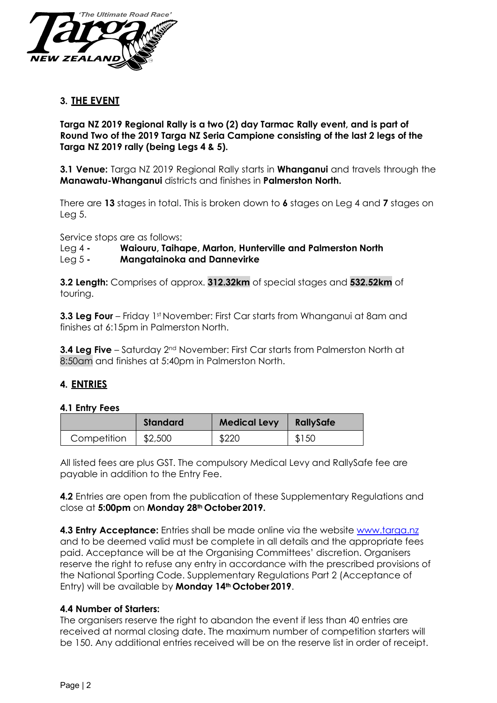

## **3. THE EVENT**

**Targa NZ 2019 Regional Rally is a two (2) day Tarmac Rally event, and is part of Round Two of the 2019 Targa NZ Seria Campione consisting of the last 2 legs of the Targa NZ 2019 rally (being Legs 4 & 5).**

**3.1 Venue:** Targa NZ 2019 Regional Rally starts in **Whanganui** and travels through the **Manawatu-Whanganui** districts and finishes in **Palmerston North.**

There are **13** stages in total. This is broken down to **6** stages on Leg 4 and **7** stages on Leg 5.

Service stops are as follows:

#### Leg 4 **- Waiouru, Taihape, Marton, Hunterville and Palmerston North**

#### Leg 5 **- Mangatainoka and Dannevirke**

**3.2 Length:** Comprises of approx. **312.32km** of special stages and **532.52km** of touring.

**3.3 Leg Four** – Friday 1<sup>st</sup> November: First Car starts from Whanganui at 8am and finishes at 6:15pm in Palmerston North.

**3.4 Leg Five** – Saturday 2<sup>nd</sup> November: First Car starts from Palmerston North at 8:50am and finishes at 5:40pm in Palmerston North.

## **4. ENTRIES**

#### **4.1 Entry Fees**

|             | Standard | <b>Medical Levy</b> | <b>RallySafe</b> |
|-------------|----------|---------------------|------------------|
| Competition | \$2,500  | \$220               | \$150            |

All listed fees are plus GST. The compulsory Medical Levy and RallySafe fee are payable in addition to the Entry Fee.

**4.2** Entries are open from the publication of these Supplementary Regulations and close at **5:00pm** on **Monday 28th October2019.**

**4.3 Entry Acceptance:** Entries shall be made online via the website [www.targa.nz](http://www.targa.nz/) and to be deemed valid must be complete in all details and the appropriate fees paid. Acceptance will be at the Organising Committees' discretion. Organisers reserve the right to refuse any entry in accordance with the prescribed provisions of the National Sporting Code. Supplementary Regulations Part 2 (Acceptance of Entry) will be available by **Monday 14th October2019**.

#### **4.4 Number of Starters:**

The organisers reserve the right to abandon the event if less than 40 entries are received at normal closing date. The maximum number of competition starters will be 150. Any additional entries received will be on the reserve list in order of receipt.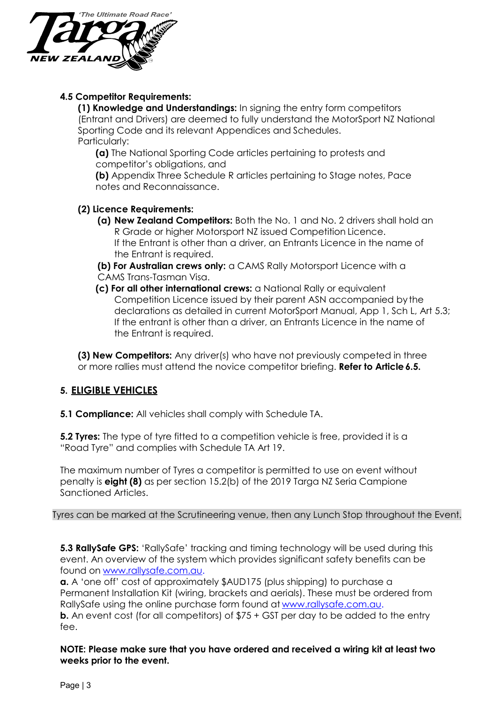

## **4.5 Competitor Requirements:**

**(1) Knowledge and Understandings:** In signing the entry form competitors (Entrant and Drivers) are deemed to fully understand the MotorSport NZ National Sporting Code and its relevant Appendices and Schedules. Particularly:

**(a)** The National Sporting Code articles pertaining to protests and competitor's obligations, and

**(b)** Appendix Three Schedule R articles pertaining to Stage notes, Pace notes and Reconnaissance.

#### **(2) Licence Requirements:**

- **(a) New Zealand Competitors:** Both the No. 1 and No. 2 drivers shall hold an R Grade or higher Motorsport NZ issued Competition Licence. If the Entrant is other than a driver, an Entrants Licence in the name of the Entrant is required.
- **(b) For Australian crews only:** a CAMS Rally Motorsport Licence with a CAMS Trans-Tasman Visa.
- **(c) For all other international crews:** a National Rally or equivalent Competition Licence issued by their parent ASN accompanied by the declarations as detailed in current MotorSport Manual, App 1, Sch L, Art 5.3; If the entrant is other than a driver, an Entrants Licence in the name of the Entrant is required.

**(3) New Competitors:** Any driver(s) who have not previously competed in three or more rallies must attend the novice competitor briefing. **Refer to Article 6.5.** 

# **5. ELIGIBLE VEHICLES**

**5.1 Compliance:** All vehicles shall comply with Schedule TA.

**5.2 Tyres:** The type of tyre fitted to a competition vehicle is free, provided it is a "Road Tyre" and complies with Schedule TA Art 19.

The maximum number of Tyres a competitor is permitted to use on event without penalty is **eight (8)** as per section 15.2(b) of the 2019 Targa NZ Seria Campione Sanctioned Articles.

Tyres can be marked at the Scrutineering venue, then any Lunch Stop throughout the Event.

**5.3 RallySafe GPS:** 'RallySafe' tracking and timing technology will be used during this event. An overview of the system which provides significant safety benefits can be found on [www.rallysafe.com.au.](http://www.rallysafe.com.au/)

**a.** A 'one off' cost of approximately \$AUD175 (plus shipping) to purchase a Permanent Installation Kit (wiring, brackets and aerials). These must be ordered from RallySafe using the online purchase form found at [www.rallysafe.com.au.](http://www.rallysafe.com.au/) **b.** An event cost (for all competitors) of \$75 + GST per day to be added to the entry fee.

**NOTE: Please make sure that you have ordered and received a wiring kit at least two weeks prior to the event.**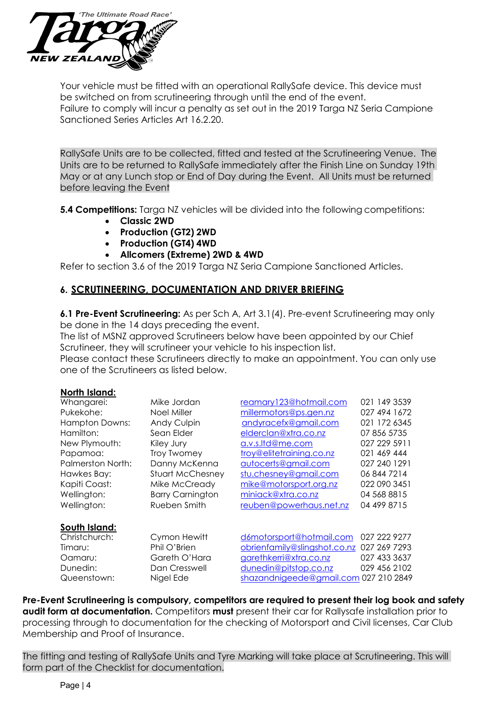

Your vehicle must be fitted with an operational RallySafe device. This device must be switched on from scrutineering through until the end of the event. Failure to comply will incur a penalty as set out in the 2019 Targa NZ Seria Campione Sanctioned Series Articles Art 16.2.20.

RallySafe Units are to be collected, fitted and tested at the Scrutineering Venue. The Units are to be returned to RallySafe immediately after the Finish Line on Sunday 19th May or at any Lunch stop or End of Day during the Event. All Units must be returned before leaving the Event

**5.4 Competitions:** Targa NZ vehicles will be divided into the following competitions:

- **Classic 2WD**
- **Production (GT2) 2WD**
- **Production (GT4) 4WD**
- **Allcomers (Extreme) 2WD & 4WD**

Refer to section 3.6 of the 2019 Targa NZ Seria Campione Sanctioned Articles.

## **6. SCRUTINEERING, DOCUMENTATION AND DRIVER BRIEFING**

**6.1 Pre-Event Scrutineering:** As per Sch A, Art 3.1(4). Pre-event Scrutineering may only be done in the 14 days preceding the event.

The list of MSNZ approved Scrutineers below have been appointed by our Chief Scrutineer, they will scrutineer your vehicle to his inspection list.

Please contact these Scrutineers directly to make an appointment. You can only use one of the Scrutineers as listed below.

| Whangarei:               | Mike Jordan             | reamary123@hotmail.com                | 021 149 3539 |
|--------------------------|-------------------------|---------------------------------------|--------------|
| Pukekohe:                | Noel Miller             | millermotors@ps.gen.nz                | 027 494 1672 |
| <b>Hampton Downs:</b>    | Andy Culpin             | andyracefx@gmail.com                  | 021 172 6345 |
| Hamilton:                | Sean Elder              | elderclan@xtra.co.nz                  | 07 856 5735  |
| New Plymouth:            | Kiley Jury              | a.v.s.ltd@me.com                      | 027 229 5911 |
| Papamoa:                 | <b>Troy Twomey</b>      | troy@elitetraining.co.nz              | 021 469 444  |
| <b>Palmerston North:</b> | Danny McKenna           | autocerts@gmail.com                   | 027 240 1291 |
| Hawkes Bay:              | <b>Stuart McChesney</b> | stu.chesney@gmail.com                 | 06 844 7214  |
| Kapiti Coast:            | Mike McCready           | mike@motorsport.org.nz                | 022 090 3451 |
| Wellington:              | <b>Barry Carnington</b> | miniack@xtra.co.nz                    | 04 568 8815  |
| Wellington:              | Rueben Smith            | reuben@powerhaus.net.nz               | 04 499 8715  |
| South Island:            |                         |                                       |              |
| Christchurch:            | Cymon Hewitt            | d6motorsport@hotmail.com              | 027 222 9277 |
| Timaru:                  | Phil O'Brien            | obrienfamily@slingshot.co.nz          | 027 269 7293 |
| Oamaru:                  | Gareth O'Hara           | garethkerri@xtra.co.nz                | 027 433 3637 |
| Dunedin:                 | Dan Cresswell           | dunedin@pitstop.co.nz                 | 029 456 2102 |
| Queenstown:              | Nigel Ede               | shazandnigeede@gmail.com 027 210 2849 |              |
|                          |                         |                                       |              |

**Pre-Event Scrutineering is compulsory, competitors are required to present their log book and safety audit form at documentation.** Competitors **must** present their car for Rallysafe installation prior to processing through to documentation for the checking of Motorsport and Civil licenses, Car Club Membership and Proof of Insurance.

The fitting and testing of RallySafe Units and Tyre Marking will take place at Scrutineering. This will form part of the Checklist for documentation.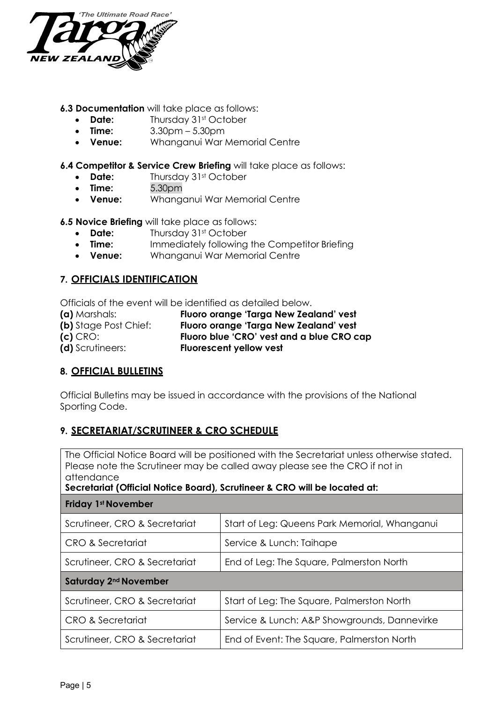

#### **6.3 Documentation** will take place as follows:

- **Date:** Thursday 31st October
- **Time:** 3.30pm 5.30pm
- **Venue:** Whanganui War Memorial Centre

#### **6.4 Competitor & Service Crew Briefing** will take place as follows:

- **Date:** Thursday 31st October
- **Time:** 5.30pm
- **Venue:** Whanganui War Memorial Centre

**6.5 Novice Briefing** will take place as follows:

- **Date:** Thursday 31st October
- **Time:** Immediately following the Competitor Briefing
- **Venue:** Whanganui War Memorial Centre

## **7. OFFICIALS IDENTIFICATION**

Officials of the event will be identified as detailed below.

**(a)** Marshals: **Fluoro orange 'Targa New Zealand' vest (b)** Stage Post Chief: **Fluoro orange 'Targa New Zealand' vest (c)** CRO: **Fluoro blue 'CRO' vest and a blue CRO cap (d)** Scrutineers: **Fluorescent yellow vest**

# **8. OFFICIAL BULLETINS**

Official Bulletins may be issued in accordance with the provisions of the National Sporting Code.

## **9. SECRETARIAT/SCRUTINEER & CRO SCHEDULE**

The Official Notice Board will be positioned with the Secretariat unless otherwise stated. Please note the Scrutineer may be called away please see the CRO if not in attendance

#### **Secretariat (Official Notice Board), Scrutineer & CRO will be located at:**

| <b>Friday 1st November</b>        |                                               |  |  |  |
|-----------------------------------|-----------------------------------------------|--|--|--|
| Scrutineer, CRO & Secretariat     | Start of Leg: Queens Park Memorial, Whanganui |  |  |  |
| CRO & Secretariat                 | Service & Lunch: Taihape                      |  |  |  |
| Scrutineer, CRO & Secretariat     | End of Leg: The Square, Palmerston North      |  |  |  |
| Saturday 2 <sup>nd</sup> November |                                               |  |  |  |
| Scrutineer, CRO & Secretariat     | Start of Leg: The Square, Palmerston North    |  |  |  |
| CRO & Secretariat                 | Service & Lunch: A&P Showgrounds, Dannevirke  |  |  |  |
| Scrutineer, CRO & Secretariat     | End of Event: The Square, Palmerston North    |  |  |  |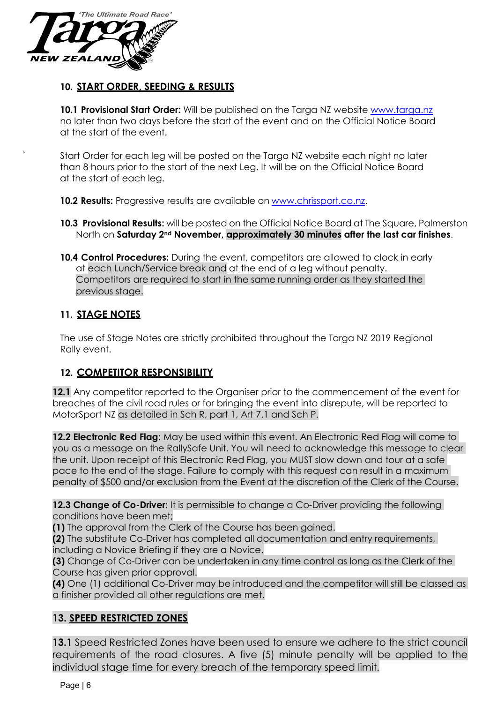

## **10. START ORDER, SEEDING & RESULTS**

10.1 **Provisional Start Order:** Will be published on the Targa NZ website [www.targa.nz](http://www.targa.nz/) no later than two days before the start of the event and on the Official Notice Board at the start of the event.

Start Order for each leg will be posted on the Targa NZ website each night no later than 8 hours prior to the start of the next Leg. It will be on the Official Notice Board at the start of each leg.

**10.2 Results:** Progressive results are available on [www.chrissport.co.nz.](http://www.chrissport.co.nz/)

- **10.3 Provisional Results:** will be posted on the Official Notice Board at The Square, Palmerston North on **Saturday 2nd November, approximately 30 minutes after the last car finishes**.
- **10.4 Control Procedures:** During the event, competitors are allowed to clock in early at each Lunch/Service break and at the end of a leg without penalty. Competitors are required to start in the same running order as they started the previous stage.

## **11. STAGE NOTES**

The use of Stage Notes are strictly prohibited throughout the Targa NZ 2019 Regional Rally event.

# **12. COMPETITOR RESPONSIBILITY**

**12.1** Any competitor reported to the Organiser prior to the commencement of the event for breaches of the civil road rules or for bringing the event into disrepute, will be reported to MotorSport NZ as detailed in Sch R, part 1, Art 7.1 and Sch P.

**12.2 Electronic Red Flag:** May be used within this event. An Electronic Red Flag will come to you as a message on the RallySafe Unit. You will need to acknowledge this message to clear the unit. Upon receipt of this Electronic Red Flag, you MUST slow down and tour at a safe pace to the end of the stage. Failure to comply with this request can result in a maximum penalty of \$500 and/or exclusion from the Event at the discretion of the Clerk of the Course.

**12.3 Change of Co-Driver:** It is permissible to change a Co-Driver providing the following conditions have been met;

**(1)** The approval from the Clerk of the Course has been gained.

**(2)** The substitute Co-Driver has completed all documentation and entry requirements, including a Novice Briefing if they are a Novice.

**(3)** Change of Co-Driver can be undertaken in any time control as long as the Clerk of the Course has given prior approval.

**(4)** One (1) additional Co-Driver may be introduced and the competitor will still be classed as a finisher provided all other regulations are met.

# **13. SPEED RESTRICTED ZONES**

**13.1** Speed Restricted Zones have been used to ensure we adhere to the strict council requirements of the road closures. A five (5) minute penalty will be applied to the individual stage time for every breach of the temporary speed limit.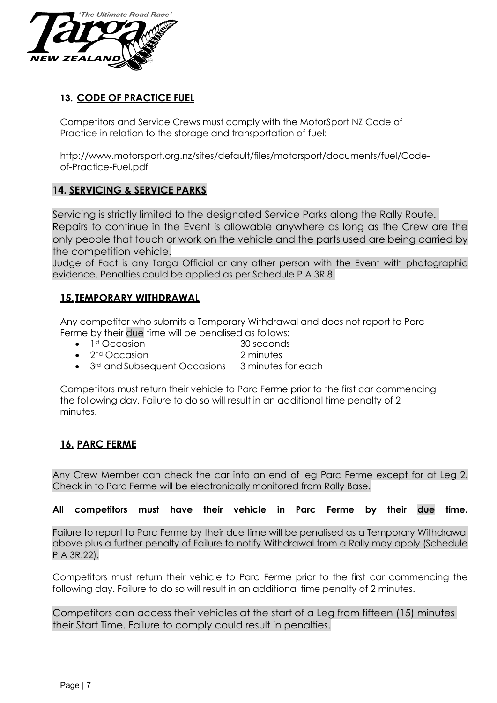

# **13. CODE OF PRACTICE FUEL**

Competitors and Service Crews must comply with the MotorSport NZ Code of Practice in relation to the storage and transportation of fuel:

[http://www.motorsport.org.nz/sites/default/files/motorsport/documents/fuel/Code](http://www.motorsport.org.nz/sites/default/files/motorsport/documents/fuel/Code-)of-Practice-Fuel.pdf

# **14. SERVICING & SERVICE PARKS**

Servicing is strictly limited to the designated Service Parks along the Rally Route. Repairs to continue in the Event is allowable anywhere as long as the Crew are the only people that touch or work on the vehicle and the parts used are being carried by the competition vehicle.

Judge of Fact is any Targa Official or any other person with the Event with photographic evidence. Penalties could be applied as per Schedule P A 3R.8.

# **15.TEMPORARY WITHDRAWAL**

Any competitor who submits a Temporary Withdrawal and does not report to Parc Ferme by their due time will be penalised as follows:

- 1<sup>st</sup> Occasion 30 seconds
- 2<sup>nd</sup> Occasion 2 minutes
- 3<sup>rd</sup> and Subsequent Occasions 3 minutes for each

Competitors must return their vehicle to Parc Ferme prior to the first car commencing the following day. Failure to do so will result in an additional time penalty of 2 minutes.

# **16. PARC FERME**

Any Crew Member can check the car into an end of leg Parc Ferme except for at Leg 2. Check in to Parc Ferme will be electronically monitored from Rally Base.

## **All competitors must have their vehicle in Parc Ferme by their due time.**

Failure to report to Parc Ferme by their due time will be penalised as a Temporary Withdrawal above plus a further penalty of Failure to notify Withdrawal from a Rally may apply (Schedule P A 3R.22).

Competitors must return their vehicle to Parc Ferme prior to the first car commencing the following day. Failure to do so will result in an additional time penalty of 2 minutes.

Competitors can access their vehicles at the start of a Leg from fifteen (15) minutes their Start Time. Failure to comply could result in penalties.